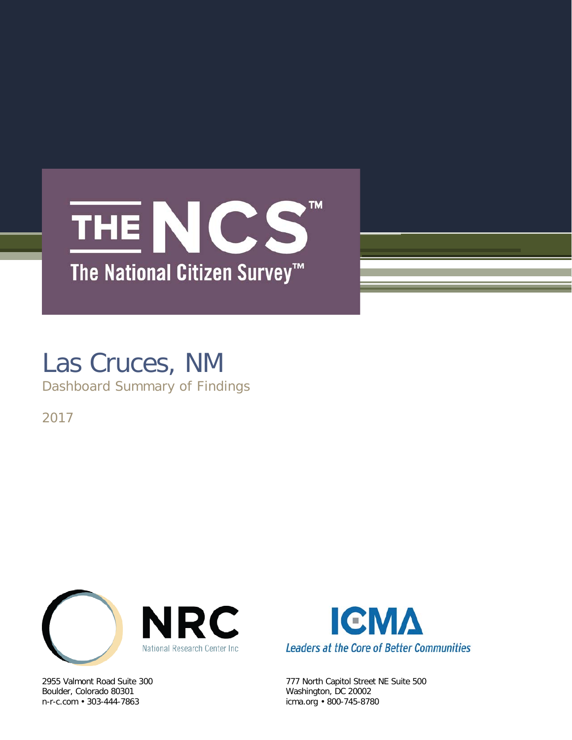# TM. THE NCS The National Citizen Survey<sup>™</sup>

# Las Cruces, NM

Dashboard Summary of Findings

2017



Boulder, Colorado 80301 Washington, DC 20002



2955 Valmont Road Suite 300 777 North Capitol Street NE Suite 500 icma.org • 800-745-8780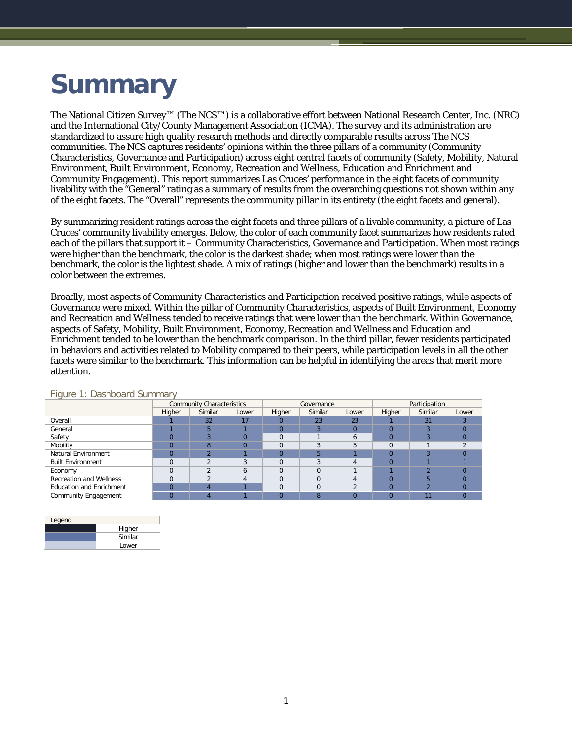# **Summary**

The National Citizen Survey™ (The NCS™) is a collaborative effort between National Research Center, Inc. (NRC) and the International City/County Management Association (ICMA). The survey and its administration are standardized to assure high quality research methods and directly comparable results across The NCS communities. The NCS captures residents' opinions within the three pillars of a community (Community Characteristics, Governance and Participation) across eight central facets of community (Safety, Mobility, Natural Environment, Built Environment, Economy, Recreation and Wellness, Education and Enrichment and Community Engagement). This report summarizes Las Cruces' performance in the eight facets of community livability with the "General" rating as a summary of results from the overarching questions not shown within any of the eight facets. The "Overall" represents the community pillar in its entirety (the eight facets and general).

By summarizing resident ratings across the eight facets and three pillars of a livable community, a picture of Las Cruces' community livability emerges. Below, the color of each community facet summarizes how residents rated each of the pillars that support it – Community Characteristics, Governance and Participation. When most ratings were higher than the benchmark, the color is the darkest shade; when most ratings were lower than the benchmark, the color is the lightest shade. A mix of ratings (higher and lower than the benchmark) results in a color between the extremes.

Broadly, most aspects of Community Characteristics and Participation received positive ratings, while aspects of Governance were mixed. Within the pillar of Community Characteristics, aspects of Built Environment, Economy and Recreation and Wellness tended to receive ratings that were lower than the benchmark. Within Governance, aspects of Safety, Mobility, Built Environment, Economy, Recreation and Wellness and Education and Enrichment tended to be lower than the benchmark comparison. In the third pillar, fewer residents participated in behaviors and activities related to Mobility compared to their peers, while participation levels in all the other facets were similar to the benchmark. This information can be helpful in identifying the areas that merit more attention.

|                                 |          | Community Characteristics |              |          | Governance |       | Participation |         |          |  |
|---------------------------------|----------|---------------------------|--------------|----------|------------|-------|---------------|---------|----------|--|
|                                 | Higher   | Similar                   | Lower        | Higher   | Similar    | Lower | Higher        | Similar | Lower    |  |
| Overall                         |          | 32                        | 17           | O        | 23         | 23    |               | 31      |          |  |
| General                         |          |                           |              |          |            |       |               | ឹ       | $\Omega$ |  |
| Safety                          | 0        |                           | $\Omega$     | $\Omega$ |            |       |               |         |          |  |
| Mobility                        | $\Omega$ | 8                         | $\Omega$     | $\Omega$ |            |       |               |         |          |  |
| Natural Environment             | $\Omega$ |                           |              |          |            |       |               |         |          |  |
| <b>Built Environment</b>        |          |                           |              | $\Omega$ |            |       |               |         |          |  |
| Economy                         |          |                           | <sub>6</sub> | $\Omega$ |            |       |               | ◚       |          |  |
| <b>Recreation and Wellness</b>  |          |                           |              | $\Omega$ |            |       |               | 5       |          |  |
| <b>Education and Enrichment</b> | $\Omega$ |                           |              | $\Omega$ |            |       |               | ി       | $\Omega$ |  |
| Community Engagement            | $\Omega$ |                           |              |          | m          |       |               | 11      | $\Omega$ |  |

### Figure 1: Dashboard Summary

| Legend |         |
|--------|---------|
|        | Higher  |
|        | Similar |
|        | Lower   |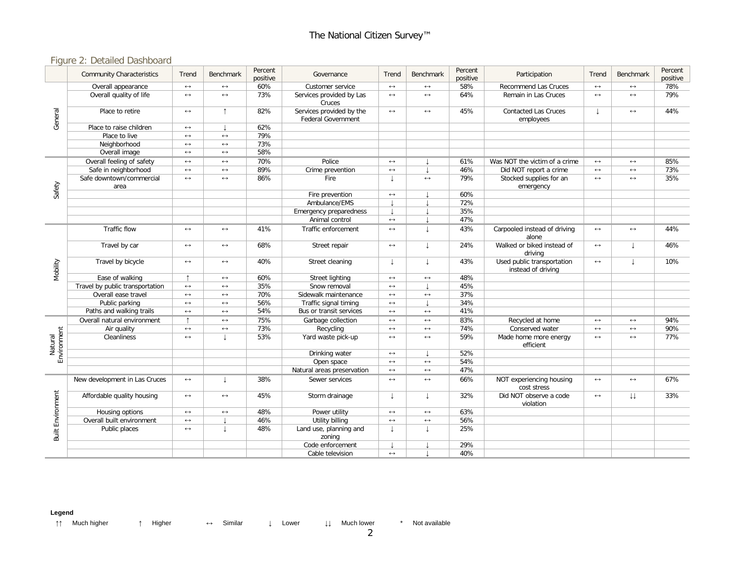## Figure 2: Detailed Dashboard

|                          | <b>Community Characteristics</b> | Trend                 | <b>Benchmark</b>      | Percent<br>positive | Governance                                            | Trend                 | <b>Benchmark</b>         | Percent<br>positive | Participation                                    | Trend                 | Benchmark         | Percent<br>positive |
|--------------------------|----------------------------------|-----------------------|-----------------------|---------------------|-------------------------------------------------------|-----------------------|--------------------------|---------------------|--------------------------------------------------|-----------------------|-------------------|---------------------|
| General                  | Overall appearance               | $\leftrightarrow$     | $\longleftrightarrow$ | 60%                 | Customer service                                      | $\leftrightarrow$     | $\leftrightarrow$        | 58%                 | <b>Recommend Las Cruces</b>                      | $\leftrightarrow$     | $\leftrightarrow$ | 78%                 |
|                          | Overall quality of life          | $\longleftrightarrow$ | $\leftrightarrow$     | 73%                 | Services provided by Las<br>Cruces                    | $\leftrightarrow$     | $\leftrightarrow$        | 64%                 | Remain in Las Cruces                             | $\leftrightarrow$     | $\leftrightarrow$ | 79%                 |
|                          | Place to retire                  | $\leftrightarrow$     | $\uparrow$            | 82%                 | Services provided by the<br><b>Federal Government</b> | $\longleftrightarrow$ | $\leftrightarrow$        | 45%                 | <b>Contacted Las Cruces</b><br>employees         |                       | $\leftrightarrow$ | 44%                 |
|                          | Place to raise children          | $\leftrightarrow$     |                       | 62%                 |                                                       |                       |                          |                     |                                                  |                       |                   |                     |
|                          | Place to live                    | $\leftrightarrow$     | $\longleftrightarrow$ | 79%                 |                                                       |                       |                          |                     |                                                  |                       |                   |                     |
|                          | Neighborhood                     | $\longleftrightarrow$ | $\leftrightarrow$     | 73%                 |                                                       |                       |                          |                     |                                                  |                       |                   |                     |
|                          | Overall image                    | $\longleftrightarrow$ | $\leftrightarrow$     | 58%                 |                                                       |                       |                          |                     |                                                  |                       |                   |                     |
|                          | Overall feeling of safety        | $\leftrightarrow$     | $\leftrightarrow$     | 70%                 | Police                                                | $\longleftrightarrow$ |                          | 61%                 | Was NOT the victim of a crime                    | $\leftrightarrow$     | $\leftrightarrow$ | 85%                 |
|                          | Safe in neighborhood             | $\leftrightarrow$     | $\leftrightarrow$     | 89%                 | Crime prevention                                      | $\leftrightarrow$     |                          | 46%                 | Did NOT report a crime                           | $\longleftrightarrow$ | $\leftrightarrow$ | 73%                 |
|                          | Safe downtown/commercial<br>area | $\longleftrightarrow$ | $\longleftrightarrow$ | 86%                 | Fire                                                  | $\downarrow$          | 79%<br>$\leftrightarrow$ |                     | Stocked supplies for an<br>emergency             | $\leftrightarrow$     | $\leftrightarrow$ | 35%                 |
| Safety                   |                                  |                       |                       |                     | Fire prevention                                       | $\longleftrightarrow$ |                          | 60%                 |                                                  |                       |                   |                     |
|                          |                                  |                       |                       |                     | Ambulance/EMS                                         |                       |                          | 72%                 |                                                  |                       |                   |                     |
|                          |                                  |                       |                       |                     | Emergency preparedness                                | $\mathbf{I}$          |                          | 35%                 |                                                  |                       |                   |                     |
|                          |                                  |                       |                       |                     | Animal control                                        | $\leftrightarrow$     |                          | 47%                 |                                                  |                       |                   |                     |
| Mobility                 | Traffic flow                     | $\longleftrightarrow$ | $\leftrightarrow$     | 41%                 | Traffic enforcement                                   | $\leftrightarrow$     |                          | 43%                 | Carpooled instead of driving<br>alone            | $\leftrightarrow$     | $\leftrightarrow$ | 44%                 |
|                          | Travel by car                    | $\longleftrightarrow$ | $\longleftrightarrow$ | 68%                 | Street repair                                         | $\leftrightarrow$     |                          | 24%                 | Walked or biked instead of<br>driving            | $\leftrightarrow$     |                   | 46%                 |
|                          | Travel by bicycle                | $\longleftrightarrow$ | $\leftrightarrow$     | 40%                 | Street cleaning                                       | $\perp$               |                          | 43%                 | Used public transportation<br>instead of driving | $\longleftrightarrow$ | T                 | 10%                 |
|                          | Ease of walking                  | $\uparrow$            | $\longleftrightarrow$ | 60%                 | Street lighting                                       | $\longleftrightarrow$ | $\longleftrightarrow$    | 48%                 |                                                  |                       |                   |                     |
|                          | Travel by public transportation  | $\longleftrightarrow$ | $\leftrightarrow$     | 35%                 | Snow removal                                          | $\leftrightarrow$     |                          | 45%                 |                                                  |                       |                   |                     |
|                          | Overall ease travel              | $\longleftrightarrow$ | $\longleftrightarrow$ | 70%                 | Sidewalk maintenance                                  | $\longleftrightarrow$ | $\longleftrightarrow$    | 37%                 |                                                  |                       |                   |                     |
|                          | Public parking                   | $\longleftrightarrow$ | $\leftrightarrow$     | 56%                 | Traffic signal timing                                 | $\longleftrightarrow$ |                          | 34%                 |                                                  |                       |                   |                     |
|                          | Paths and walking trails         | $\leftrightarrow$     | $\leftrightarrow$     | 54%                 | Bus or transit services                               | $\leftrightarrow$     | $\leftrightarrow$        | 41%                 |                                                  |                       |                   |                     |
|                          | Overall natural environment      | $\uparrow$            | $\longleftrightarrow$ | 75%                 | Garbage collection                                    | $\longleftrightarrow$ | $\leftrightarrow$        | 83%                 | Recycled at home                                 | $\leftrightarrow$     | $\leftrightarrow$ | 94%                 |
|                          | Air quality                      | $\longleftrightarrow$ | $\leftrightarrow$     | 73%                 | Recycling                                             | $\leftrightarrow$     | $\leftrightarrow$        | 74%                 | Conserved water                                  | $\longleftrightarrow$ | $\leftrightarrow$ | 90%                 |
| Environment<br>Natural   | Cleanliness                      | $\leftrightarrow$     | $\perp$               | 53%                 | Yard waste pick-up                                    | $\leftrightarrow$     | $\leftrightarrow$        | 59%                 | Made home more energy<br>efficient               | $\leftrightarrow$     | $\leftrightarrow$ | 77%                 |
|                          |                                  |                       |                       |                     | Drinking water                                        | $\leftrightarrow$     |                          | 52%                 |                                                  |                       |                   |                     |
|                          |                                  |                       |                       |                     | Open space                                            | $\longleftrightarrow$ | $\leftrightarrow$        | 54%                 |                                                  |                       |                   |                     |
|                          |                                  |                       |                       |                     | Natural areas preservation                            | $\longleftrightarrow$ | $\longleftrightarrow$    | 47%                 |                                                  |                       |                   |                     |
|                          | New development in Las Cruces    | $\longleftrightarrow$ | $\downarrow$          | 38%                 | Sewer services                                        | $\leftrightarrow$     | $\longleftrightarrow$    | 66%                 | NOT experiencing housing<br>cost stress          | $\longleftrightarrow$ | $\leftrightarrow$ | 67%                 |
| <b>Built Environment</b> | Affordable quality housing       | $\longleftrightarrow$ | $\leftrightarrow$     | 45%                 | Storm drainage                                        | $\downarrow$          | T                        | 32%                 | Did NOT observe a code<br>violation              | $\leftrightarrow$     | ιı                | 33%                 |
|                          | Housing options                  | $\leftrightarrow$     | $\leftrightarrow$     | 48%                 | Power utility                                         | $\leftrightarrow$     | $\leftrightarrow$        | 63%                 |                                                  |                       |                   |                     |
|                          | Overall built environment        | $\leftrightarrow$     |                       | 46%                 | Utility billing                                       | $\leftrightarrow$     | $\leftrightarrow$        | 56%                 |                                                  |                       |                   |                     |
|                          | Public places                    | $\longleftrightarrow$ | J.                    | 48%                 | Land use, planning and<br>zoning                      | T                     |                          | 25%                 |                                                  |                       |                   |                     |
|                          |                                  |                       |                       |                     | Code enforcement                                      |                       |                          | 29%                 |                                                  |                       |                   |                     |
|                          |                                  |                       |                       |                     | Cable television                                      | $\leftrightarrow$     |                          | 40%                 |                                                  |                       |                   |                     |

#### **Legend**

↑↑ Much higher ↑ Higher ↔ Similar ↓ Lower ↓↓ Much lower \* Not available

2